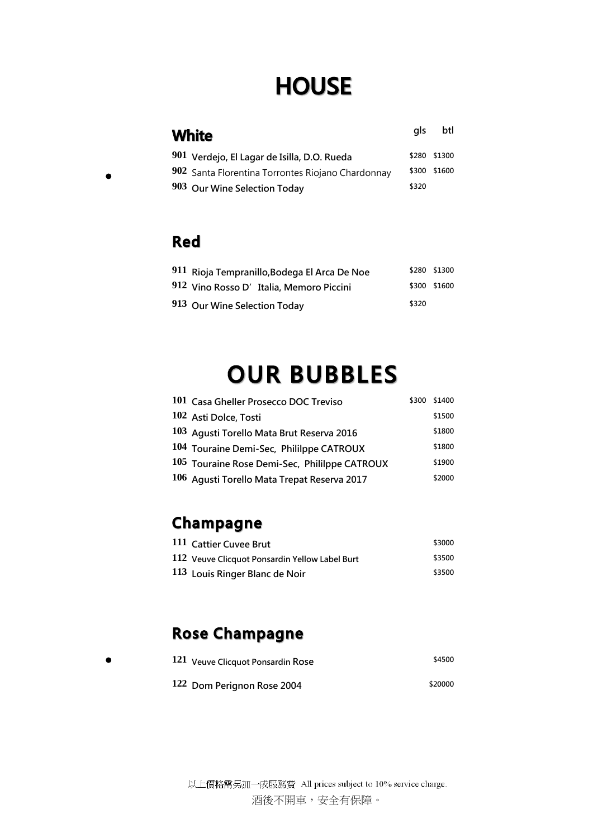# **HOUSE**

| White                                             | als   | btl          |
|---------------------------------------------------|-------|--------------|
| 901 Verdejo, El Lagar de Isilla, D.O. Rueda       |       | \$280 \$1300 |
| 902 Santa Florentina Torrontes Riojano Chardonnay |       | \$300 \$1600 |
| 903 Our Wine Selection Today                      | \$320 |              |

#### **Red**

 $\bullet$ 

 $\bullet$ 

| 911 Rioja Tempranillo, Bodega El Arca De Noe |       | \$280 \$1300 |
|----------------------------------------------|-------|--------------|
| 912 Vino Rosso D'Italia, Memoro Piccini      |       | \$300 \$1600 |
| 913 Our Wine Selection Today                 | \$320 |              |

# **OUR BUBBLES**

| 101 Casa Gheller Prosecco DOC Treviso         | \$300 | \$1400 |
|-----------------------------------------------|-------|--------|
| 102 Asti Dolce, Tosti                         |       | \$1500 |
| 103 Agusti Torello Mata Brut Reserva 2016     |       | \$1800 |
| 104 Touraine Demi-Sec, Phililppe CATROUX      |       | \$1800 |
| 105 Touraine Rose Demi-Sec, Phililppe CATROUX |       | \$1900 |
| 106 Agusti Torello Mata Trepat Reserva 2017   |       | \$2000 |

## Champagne

| 111 Cattier Cuvee Brut                         | \$3000 |
|------------------------------------------------|--------|
| 112 Veuve Clicquot Ponsardin Yellow Label Burt | \$3500 |
| 113 Louis Ringer Blanc de Noir                 | \$3500 |

## **Rose Champagne**

| 121 Veuve Clicquot Ponsardin Rose | \$4500  |
|-----------------------------------|---------|
| 122 Dom Perignon Rose 2004        | \$20000 |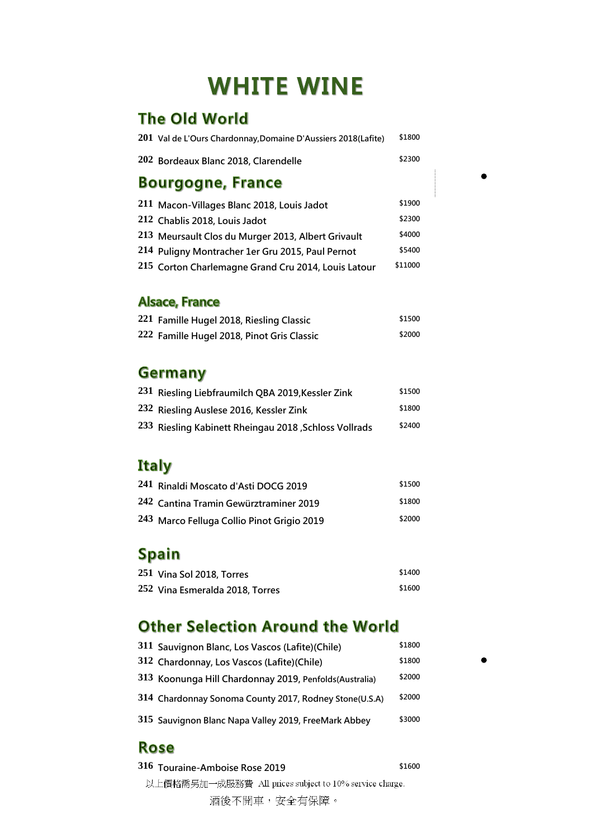# **WHITE WINE**

## The Old World

| 201 Val de L'Ours Chardonnay, Domaine D'Aussiers 2018 (Lafite) | \$1800  |
|----------------------------------------------------------------|---------|
| 202 Bordeaux Blanc 2018, Clarendelle                           | \$2300  |
| <b>Bourgogne, France</b>                                       |         |
| 211 Macon-Villages Blanc 2018, Louis Jadot                     | \$1900  |
| 212 Chablis 2018, Louis Jadot                                  | \$2300  |
| 213 Meursault Clos du Murger 2013, Albert Grivault             | \$4000  |
| 214 Puligny Montracher 1er Gru 2015, Paul Pernot               | \$5400  |
| 215 Corton Charlemagne Grand Cru 2014, Louis Latour            | \$11000 |

 $\bullet$ 

 $\bullet$ 

#### **Alsace, France**

| 221 Famille Hugel 2018, Riesling Classic   | \$1500 |
|--------------------------------------------|--------|
| 222 Famille Hugel 2018, Pinot Gris Classic | \$2000 |

#### **Germany**

| 231 Riesling Liebfraumilch QBA 2019, Kessler Zink     | \$1500 |
|-------------------------------------------------------|--------|
| 232 Riesling Auslese 2016, Kessler Zink               | \$1800 |
| 233 Riesling Kabinett Rheingau 2018, Schloss Vollrads | \$2400 |

### **Italy**

| 241 Rinaldi Moscato d'Asti DOCG 2019       | \$1500 |
|--------------------------------------------|--------|
| 242 Cantina Tramin Gewürztraminer 2019     | \$1800 |
| 243 Marco Felluga Collio Pinot Grigio 2019 | \$2000 |

## Spain

| $251$ Vina Sol 2018, Torres     | \$1400 |
|---------------------------------|--------|
| 252 Vina Esmeralda 2018, Torres | \$1600 |

#### **Other Selection Around the World**

| 311 Sauvignon Blanc, Los Vascos (Lafite)(Chile)         | \$1800 |
|---------------------------------------------------------|--------|
| 312 Chardonnay, Los Vascos (Lafite) (Chile)             | \$1800 |
| 313 Koonunga Hill Chardonnay 2019, Penfolds (Australia) | \$2000 |
| 314 Chardonnay Sonoma County 2017, Rodney Stone(U.S.A)  | \$2000 |
| 315 Sauvignon Blanc Napa Valley 2019, FreeMark Abbey    | \$3000 |

#### **Rose**

以上價格需另加一成服務費 All prices subject to 10% service charge. 酒後不開車,安全有保障。 **Touraine-Amboise Rose 2019 \$1600**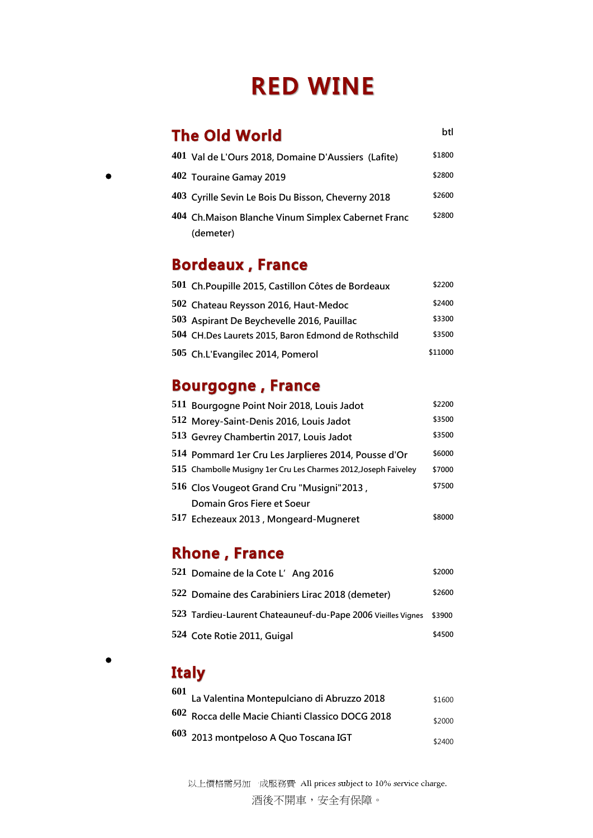# **RED WINE**

#### **The Old World**

**btl**

| 401 Val de L'Ours 2018, Domaine D'Aussiers (Lafite) | \$1800 |
|-----------------------------------------------------|--------|
| 402 Touraine Gamay 2019                             | \$2800 |
| 403 Cyrille Sevin Le Bois Du Bisson, Cheverny 2018  | \$2600 |
| 404 Ch. Maison Blanche Vinum Simplex Cabernet Franc | \$2800 |
| (demeter)                                           |        |

## **Bordeaux, France**

| 501 Ch. Poupille 2015, Castillon Côtes de Bordeaux  | \$2200  |
|-----------------------------------------------------|---------|
| 502 Chateau Reysson 2016, Haut-Medoc                | \$2400  |
| 503 Aspirant De Beychevelle 2016, Pauillac          | \$3300  |
| 504 CH.Des Laurets 2015, Baron Edmond de Rothschild | \$3500  |
| 505 Ch.L'Evangilec 2014, Pomerol                    | \$11000 |

### **Bourgogne, France**

| 511 Bourgogne Point Noir 2018, Louis Jadot                      | \$2200 |
|-----------------------------------------------------------------|--------|
| 512 Morey-Saint-Denis 2016, Louis Jadot                         | \$3500 |
| 513 Gevrey Chambertin 2017, Louis Jadot                         | \$3500 |
| 514 Pommard 1er Cru Les Jarplieres 2014, Pousse d'Or            | \$6000 |
| 515 Chambolle Musigny 1er Cru Les Charmes 2012, Joseph Faiveley | \$7000 |
| 516 Clos Vougeot Grand Cru "Musigni"2013,                       | \$7500 |
| Domain Gros Fiere et Soeur                                      |        |
| 517 Echezeaux 2013, Mongeard-Mugneret                           | \$8000 |

#### **Rhone, France**

| 521 Domaine de la Cote L'Ang 2016                                   | \$2000 |
|---------------------------------------------------------------------|--------|
| 522 Domaine des Carabiniers Lirac 2018 (demeter)                    | \$2600 |
| 523 Tardieu-Laurent Chateauneuf-du-Pape 2006 Vieilles Vignes \$3900 |        |
| 524 Cote Rotie 2011, Guigal                                         | \$4500 |

 $\bullet$ 

## **Italy**

| 601 La Valentina Montepulciano di Abruzzo 2018   | \$1600 |
|--------------------------------------------------|--------|
| 602 Rocca delle Macie Chianti Classico DOCG 2018 | \$2000 |
| 603 2013 montpeloso A Quo Toscana IGT            | \$2400 |

以上價格需另加一成服務費 All prices subject to 10% service charge.

酒後不開車,安全有保障。